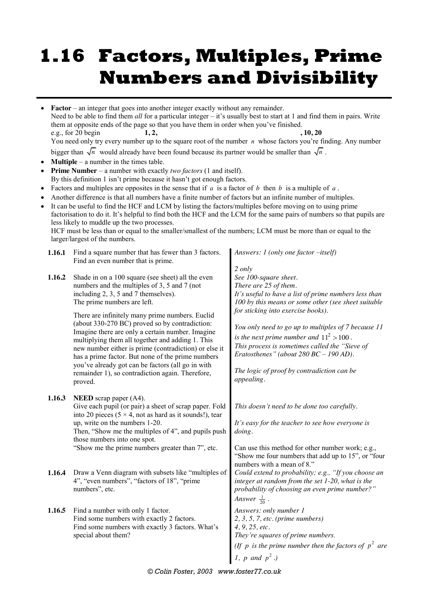# **1.16 Factors, Multiples, Prime Numbers and Divisibility**

| $\bullet$<br>$\bullet$<br>$\bullet$<br>$\bullet$<br>$\bullet$ |        | <b>Factor</b> – an integer that goes into another integer exactly without any remainder.<br>Need to be able to find them all for a particular integer – it's usually best to start at 1 and find them in pairs. Write<br>them at opposite ends of the page so that you have them in order when you've finished.<br>e.g., for 20 begin<br>1, 2,<br>You need only try every number up to the square root of the number $n$ whose factors you're finding. Any number<br>bigger than $\sqrt{n}$ would already have been found because its partner would be smaller than $\sqrt{n}$ .<br><b>Multiple</b> $-$ a number in the times table.<br><b>Prime Number</b> – a number with exactly <i>two factors</i> (1 and itself).<br>By this definition 1 isn't prime because it hasn't got enough factors.<br>Factors and multiples are opposites in the sense that if a is a factor of b then b is a multiple of a.<br>Another difference is that all numbers have a finite number of factors but an infinite number of multiples.<br>It can be useful to find the HCF and LCM by listing the factors/multiples before moving on to using prime<br>factorisation to do it. It's helpful to find both the HCF and the LCM for the same pairs of numbers so that pupils are<br>less likely to muddle up the two processes.<br>HCF must be less than or equal to the smaller/smallest of the numbers; LCM must be more than or equal to the<br>larger/largest of the numbers. | , 10, 20                                                                                                                                                                                                                                                     |
|---------------------------------------------------------------|--------|-------------------------------------------------------------------------------------------------------------------------------------------------------------------------------------------------------------------------------------------------------------------------------------------------------------------------------------------------------------------------------------------------------------------------------------------------------------------------------------------------------------------------------------------------------------------------------------------------------------------------------------------------------------------------------------------------------------------------------------------------------------------------------------------------------------------------------------------------------------------------------------------------------------------------------------------------------------------------------------------------------------------------------------------------------------------------------------------------------------------------------------------------------------------------------------------------------------------------------------------------------------------------------------------------------------------------------------------------------------------------------------------------------------------------------------------------------------------|--------------------------------------------------------------------------------------------------------------------------------------------------------------------------------------------------------------------------------------------------------------|
|                                                               | 1.16.1 | Find a square number that has fewer than 3 factors.<br>Find an even number that is prime.                                                                                                                                                                                                                                                                                                                                                                                                                                                                                                                                                                                                                                                                                                                                                                                                                                                                                                                                                                                                                                                                                                                                                                                                                                                                                                                                                                         | Answers: $1$ (only one factor $-$ itself)                                                                                                                                                                                                                    |
|                                                               | 1.16.2 | Shade in on a 100 square (see sheet) all the even<br>numbers and the multiples of 3, 5 and 7 (not<br>including 2, 3, 5 and 7 themselves).<br>The prime numbers are left.                                                                                                                                                                                                                                                                                                                                                                                                                                                                                                                                                                                                                                                                                                                                                                                                                                                                                                                                                                                                                                                                                                                                                                                                                                                                                          | 2 only<br>See 100-square sheet.<br>There are 25 of them.<br>It's useful to have a list of prime numbers less than<br>100 by this means or some other (see sheet suitable<br>for sticking into exercise books).                                               |
|                                                               |        | There are infinitely many prime numbers. Euclid<br>(about 330-270 BC) proved so by contradiction:<br>Imagine there are only a certain number. Imagine<br>multiplying them all together and adding 1. This<br>new number either is prime (contradiction) or else it<br>has a prime factor. But none of the prime numbers<br>you've already got can be factors (all go in with<br>remainder 1), so contradiction again. Therefore,<br>proved.                                                                                                                                                                                                                                                                                                                                                                                                                                                                                                                                                                                                                                                                                                                                                                                                                                                                                                                                                                                                                       | You only need to go up to multiples of 7 because 11<br>is the next prime number and $11^2 > 100$ .<br>This process is sometimes called the "Sieve of<br>Eratosthenes" (about $280$ BC - 190 AD).<br>The logic of proof by contradiction can be<br>appealing. |
|                                                               | 1.16.3 | <b>NEED</b> scrap paper $(A4)$ .<br>Give each pupil (or pair) a sheet of scrap paper. Fold<br>into 20 pieces ( $5 \times 4$ , not as hard as it sounds!), tear<br>up, write on the numbers 1-20.<br>Then, "Show me the multiples of 4", and pupils push<br>those numbers into one spot.<br>"Show me the prime numbers greater than 7", etc.                                                                                                                                                                                                                                                                                                                                                                                                                                                                                                                                                                                                                                                                                                                                                                                                                                                                                                                                                                                                                                                                                                                       | This doesn't need to be done too carefully.<br>It's easy for the teacher to see how everyone is<br>doing.<br>Can use this method for other number work; e.g.,<br>"Show me four numbers that add up to 15", or "four"<br>numbers with a mean of 8."           |
|                                                               | 1.16.4 | Draw a Venn diagram with subsets like "multiples of<br>4", "even numbers", "factors of 18", "prime<br>numbers", etc.                                                                                                                                                                                                                                                                                                                                                                                                                                                                                                                                                                                                                                                                                                                                                                                                                                                                                                                                                                                                                                                                                                                                                                                                                                                                                                                                              | Could extend to probability; e.g., "If you choose an<br>integer at random from the set 1-20, what is the<br>probability of choosing an even prime number?"<br>Answer $\frac{1}{20}$ .                                                                        |
|                                                               | 1.16.5 | Find a number with only 1 factor.<br>Find some numbers with exactly 2 factors.<br>Find some numbers with exactly 3 factors. What's<br>special about them?                                                                                                                                                                                                                                                                                                                                                                                                                                                                                                                                                                                                                                                                                                                                                                                                                                                                                                                                                                                                                                                                                                                                                                                                                                                                                                         | Answers: only number 1<br>2, 3, 5, 7, etc. (prime numbers)<br>4, 9, 25, etc.<br>They're squares of prime numbers.                                                                                                                                            |
|                                                               |        |                                                                                                                                                                                                                                                                                                                                                                                                                                                                                                                                                                                                                                                                                                                                                                                                                                                                                                                                                                                                                                                                                                                                                                                                                                                                                                                                                                                                                                                                   | (If p is the prime number then the factors of $p^2$ are<br>1, p and $p^2$ .)                                                                                                                                                                                 |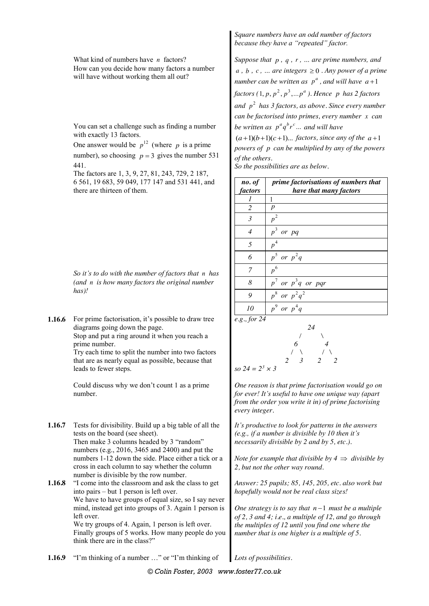What kind of numbers have *n* factors? How can you decide how many factors a number will have without working them all out?

You can set a challenge such as finding a number with exactly 13 factors.

One answer would be  $p^{12}$  (where *p* is a prime number), so choosing  $p = 3$  gives the number 531 441.

The factors are 1, 3, 9, 27, 81, 243, 729, 2 187, 6 561, 19 683, 59 049, 177 147 and 531 441, and there are thirteen of them.

*So it's to do with the number of factors that n has (and n is how many factors the original number has)!*

**1.16.6** For prime factorisation, it's possible to draw tree diagrams going down the page.

Stop and put a ring around it when you reach a prime number.

Try each time to split the number into two factors that are as nearly equal as possible, because that leads to fewer steps.

Could discuss why we don't count 1 as a prime number.

- **1.16.7** Tests for divisibility. Build up a big table of all the tests on the board (see sheet). Then make 3 columns headed by 3 "random" numbers (e.g., 2016, 3465 and 2400) and put the numbers 1-12 down the side. Place either a tick or a cross in each column to say whether the column number is divisible by the row number.
- **1.16.8** "I come into the classroom and ask the class to get into pairs – but 1 person is left over. We have to have groups of equal size, so I say never mind, instead get into groups of 3. Again 1 person is left over. We try groups of 4. Again, 1 person is left over. Finally groups of 5 works. How many people do you think there are in the class?"

*Square numbers have an odd number of factors because they have a "repeated" factor.*

*Suppose that p , q , r , … are prime numbers, and*   $a, b, c, \ldots$  are integers  $\geq 0$ . Any power of a prime *number can be written as*  $p^a$ *, and will have*  $a+1$ *factors*  $(1, p, p^2, p^3, \dots p^a)$ . Hence p has 2 factors and  $p^2$  has 3 factors, as above. Since every number *can be factorised into primes, every number x can be written as*  $p^a q^b r^c \dots$  *and will have* 

 $(a+1)(b+1)(c+1)...$  *factors, since any of the a* +1 *powers of p can be multiplied by any of the powers of the others.*

*So the possibilities are as below.*

| no. of<br>factors | prime factorisations of numbers that<br>have that many factors |
|-------------------|----------------------------------------------------------------|
|                   |                                                                |
| $\overline{2}$    | p                                                              |
| $\mathfrak{Z}$    | $p^2$                                                          |
| $\overline{4}$    | $p^3$<br>or pq                                                 |
| 5                 | $p^4$                                                          |
| 6                 | $p^5$ or $p^2q$                                                |
| 7                 | $p^6$                                                          |
| 8                 | $p^7$ or $p^3q$ or pqr                                         |
| 9                 | $p^8$ or $p^2q^2$                                              |
| 10                | $p^9$ or $p^4q$                                                |

$$
e.g., for 24
$$

$$
\begin{array}{c|cc}\n & 24 \\
 & 6 & 4 \\
 & 2 & 3 & 2 & 2 \\
\hline\n\text{so } 24 = 2^3 \times 3 & 2 & 2\n\end{array}
$$

*One reason is that prime factorisation would go on for ever! It's useful to have one unique way (apart from the order you write it in) of prime factorising every integer.*

*It's productive to look for patterns in the answers (e.g., if a number is divisible by 10 then it's necessarily divisible by 2 and by 5, etc.).*

*Note for example that divisible by*  $4 \implies$  *divisible by 2, but not the other way round.*

*Answer: 25 pupils; 85, 145, 205, etc. also work but hopefully would not be real class sizes!*

*One strategy is to say that*  $n-1$  *must be a multiple of 2, 3 and 4; i.e., a multiple of 12, and go through the multiples of 12 until you find one where the number that is one higher is a multiple of 5.*

**1.16.9** "I'm thinking of a number …" or "I'm thinking of *Lots of possibilities.*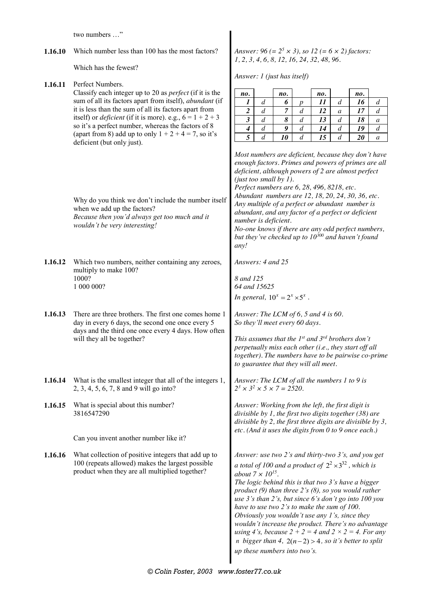two numbers …"

**1.16.10** Which number less than 100 has the most factors?

Which has the fewest?

**1.16.11** Perfect Numbers.

*Answer: 96 (= 25 × 3), so 12 (= 6 × 2) factors: 1, 2, 3, 4, 6, 8, 12, 16, 24, 32, 48, 96.*

*Answer: 1 (just has itself)*

|                                                     |                                                                                                                                                                                                                                                                                                                                                                                                                                                                                                                                                                                                                                                                                                                                                                                                                                                                                                                                                                                                                                               | no.                                                                                                                                                                                                                                                                                                                                                                                                                                                                                                                                                                                                                                                                      |                                                                                                                                                                                                                                                                                                                                                                                                                                                                                                                                                                                             | no. |                  |           |                  |           |                  |  |  |  |
|-----------------------------------------------------|-----------------------------------------------------------------------------------------------------------------------------------------------------------------------------------------------------------------------------------------------------------------------------------------------------------------------------------------------------------------------------------------------------------------------------------------------------------------------------------------------------------------------------------------------------------------------------------------------------------------------------------------------------------------------------------------------------------------------------------------------------------------------------------------------------------------------------------------------------------------------------------------------------------------------------------------------------------------------------------------------------------------------------------------------|--------------------------------------------------------------------------------------------------------------------------------------------------------------------------------------------------------------------------------------------------------------------------------------------------------------------------------------------------------------------------------------------------------------------------------------------------------------------------------------------------------------------------------------------------------------------------------------------------------------------------------------------------------------------------|---------------------------------------------------------------------------------------------------------------------------------------------------------------------------------------------------------------------------------------------------------------------------------------------------------------------------------------------------------------------------------------------------------------------------------------------------------------------------------------------------------------------------------------------------------------------------------------------|-----|------------------|-----------|------------------|-----------|------------------|--|--|--|
| 1.16.11<br>1.16.12<br>1.16.13<br>1.16.14<br>1.16.16 |                                                                                                                                                                                                                                                                                                                                                                                                                                                                                                                                                                                                                                                                                                                                                                                                                                                                                                                                                                                                                                               | $\boldsymbol{l}$                                                                                                                                                                                                                                                                                                                                                                                                                                                                                                                                                                                                                                                         | $\boldsymbol{d}$                                                                                                                                                                                                                                                                                                                                                                                                                                                                                                                                                                            | 6   | $\boldsymbol{p}$ | no.<br>11 | $\boldsymbol{d}$ | no.<br>16 | $\boldsymbol{d}$ |  |  |  |
|                                                     |                                                                                                                                                                                                                                                                                                                                                                                                                                                                                                                                                                                                                                                                                                                                                                                                                                                                                                                                                                                                                                               | $\overline{\mathbf{c}}$                                                                                                                                                                                                                                                                                                                                                                                                                                                                                                                                                                                                                                                  | $\boldsymbol{d}$                                                                                                                                                                                                                                                                                                                                                                                                                                                                                                                                                                            | 7   | $\boldsymbol{d}$ | 12        | $\boldsymbol{a}$ | 17        | $\boldsymbol{d}$ |  |  |  |
|                                                     |                                                                                                                                                                                                                                                                                                                                                                                                                                                                                                                                                                                                                                                                                                                                                                                                                                                                                                                                                                                                                                               | $\mathfrak{z}$                                                                                                                                                                                                                                                                                                                                                                                                                                                                                                                                                                                                                                                           | $\boldsymbol{d}$                                                                                                                                                                                                                                                                                                                                                                                                                                                                                                                                                                            | 8   | $\boldsymbol{d}$ | 13        | $\boldsymbol{d}$ | 18        | $\boldsymbol{a}$ |  |  |  |
|                                                     |                                                                                                                                                                                                                                                                                                                                                                                                                                                                                                                                                                                                                                                                                                                                                                                                                                                                                                                                                                                                                                               | $\boldsymbol{4}$                                                                                                                                                                                                                                                                                                                                                                                                                                                                                                                                                                                                                                                         | $\boldsymbol{d}$                                                                                                                                                                                                                                                                                                                                                                                                                                                                                                                                                                            | 9   | $\boldsymbol{d}$ | 14        | $\boldsymbol{d}$ | 19        | $\boldsymbol{d}$ |  |  |  |
|                                                     | (apart from 8) add up to only $1 + 2 + 4 = 7$ , so it's                                                                                                                                                                                                                                                                                                                                                                                                                                                                                                                                                                                                                                                                                                                                                                                                                                                                                                                                                                                       | 5                                                                                                                                                                                                                                                                                                                                                                                                                                                                                                                                                                                                                                                                        | $\boldsymbol{d}$                                                                                                                                                                                                                                                                                                                                                                                                                                                                                                                                                                            | 10  | d                | 15        | $\boldsymbol{d}$ | 20        | $\boldsymbol{a}$ |  |  |  |
|                                                     | Perfect Numbers.<br>Classify each integer up to 20 as <i>perfect</i> (if it is the<br>sum of all its factors apart from itself), abundant (if<br>it is less than the sum of all its factors apart from<br>itself) or <i>deficient</i> (if it is more). e.g., $6 = 1 + 2 + 3$<br>so it's a perfect number, whereas the factors of 8<br>deficient (but only just).<br>Why do you think we don't include the number itself<br>when we add up the factors?<br>Because then you'd always get too much and it<br>wouldn't be very interesting!<br>Which two numbers, neither containing any zeroes,<br>multiply to make 100?<br>1000?<br>1 000 000?<br>day in every 6 days, the second one once every 5<br>will they all be together?<br>2, 3, 4, 5, 6, 7, 8 and 9 will go into?<br>1.16.15 What is special about this number?<br>3816547290<br>Can you invent another number like it?<br>What collection of positive integers that add up to<br>100 (repeats allowed) makes the largest possible<br>product when they are all multiplied together? |                                                                                                                                                                                                                                                                                                                                                                                                                                                                                                                                                                                                                                                                          | Most numbers are deficient, because they don't have<br>enough factors. Primes and powers of primes are all<br>deficient, although powers of 2 are almost perfect<br>(just too small by $1$ ).<br>Perfect numbers are 6, 28, 496, 8218, etc.<br>Abundant numbers are 12, 18, 20, 24, 30, 36, etc.<br>Any multiple of a perfect or abundant number is<br>abundant, and any factor of a perfect or deficient<br>number is deficient.<br>No-one knows if there are any odd perfect numbers,<br>but they've checked up to $10^{300}$ and haven't found<br>any!<br>Answers: 4 and 25<br>8 and 125 |     |                  |           |                  |           |                  |  |  |  |
|                                                     |                                                                                                                                                                                                                                                                                                                                                                                                                                                                                                                                                                                                                                                                                                                                                                                                                                                                                                                                                                                                                                               | 64 and 15625<br>In general, $10^x = 2^x \times 5^x$ .                                                                                                                                                                                                                                                                                                                                                                                                                                                                                                                                                                                                                    |                                                                                                                                                                                                                                                                                                                                                                                                                                                                                                                                                                                             |     |                  |           |                  |           |                  |  |  |  |
|                                                     | There are three brothers. The first one comes home 1<br>days and the third one once every 4 days. How often                                                                                                                                                                                                                                                                                                                                                                                                                                                                                                                                                                                                                                                                                                                                                                                                                                                                                                                                   | Answer: The LCM of $6$ , $5$ and $4$ is $60$ .<br>So they'll meet every 60 days.<br>This assumes that the $1^{st}$ and $3^{rd}$ brothers don't<br>perpetually miss each other (i.e., they start off all<br>together). The numbers have to be pairwise co-prime<br>to guarantee that they will all meet.                                                                                                                                                                                                                                                                                                                                                                  |                                                                                                                                                                                                                                                                                                                                                                                                                                                                                                                                                                                             |     |                  |           |                  |           |                  |  |  |  |
|                                                     | What is the smallest integer that all of the integers 1,                                                                                                                                                                                                                                                                                                                                                                                                                                                                                                                                                                                                                                                                                                                                                                                                                                                                                                                                                                                      | Answer: The LCM of all the numbers 1 to 9 is<br>$2^3 \times 3^2 \times 5 \times 7 = 2520.$                                                                                                                                                                                                                                                                                                                                                                                                                                                                                                                                                                               |                                                                                                                                                                                                                                                                                                                                                                                                                                                                                                                                                                                             |     |                  |           |                  |           |                  |  |  |  |
|                                                     |                                                                                                                                                                                                                                                                                                                                                                                                                                                                                                                                                                                                                                                                                                                                                                                                                                                                                                                                                                                                                                               | Answer: Working from the left, the first digit is<br>divisible by $1$ , the first two digits together (38) are<br>divisible by 2, the first three digits are divisible by $3$ ,<br>etc. (And it uses the digits from 0 to 9 once each.)                                                                                                                                                                                                                                                                                                                                                                                                                                  |                                                                                                                                                                                                                                                                                                                                                                                                                                                                                                                                                                                             |     |                  |           |                  |           |                  |  |  |  |
|                                                     |                                                                                                                                                                                                                                                                                                                                                                                                                                                                                                                                                                                                                                                                                                                                                                                                                                                                                                                                                                                                                                               | Answer: use two 2's and thirty-two 3's, and you get<br>a total of 100 and a product of $2^2 \times 3^{32}$ , which is<br>about $7 \times 10^{15}$ .<br>The logic behind this is that two 3's have a bigger<br>product (9) than three $2's(8)$ , so you would rather<br>use $3$ 's than $2$ 's, but since $6$ 's don't go into $100$ you<br>have to use two $2$ 's to make the sum of $100$ .<br>Obviously you wouldn't use any 1's, since they<br>wouldn't increase the product. There's no advantage<br>using 4's, because $2 + 2 = 4$ and $2 \times 2 = 4$ . For any<br><i>n</i> bigger than 4, $2(n-2) > 4$ , so it's better to split<br>up these numbers into two's. |                                                                                                                                                                                                                                                                                                                                                                                                                                                                                                                                                                                             |     |                  |           |                  |           |                  |  |  |  |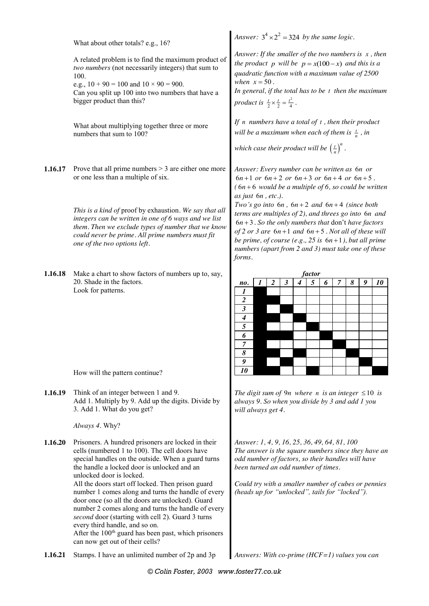What about other totals? e.g., 16? A related problem is to find the maximum product of *two numbers* (not necessarily integers) that sum to 100. e.g.,  $10 + 90 = 100$  and  $10 \times 90 = 900$ . Can you split up 100 into two numbers that have a bigger product than this? What about multiplying together three or more numbers that sum to 100? *Answer:*  $3^4 \times 2^2 = 324$  *by the same logic. Answer: If the smaller of the two numbers is x , then the product p will be*  $p = x(100 - x)$  *and this is a quadratic function with a maximum value of 2500 when*  $x = 50$ . *In general, if the total has to be t then the maximum product is*  $\frac{t}{2} \times \frac{t}{2} = \frac{t^2}{4}$ . *If n numbers have a total of t , then their product will be a maximum when each of them is*  $\frac{t}{n}$ , *in which case their product will be*  $\left(\frac{t}{n}\right)^n$ . **1.16.17** Prove that all prime numbers  $> 3$  are either one more or one less than a multiple of six. *This is a kind of* proof by exhaustion*. We say that all integers can be written in one of 6 ways and we list them. Then we exclude types of number that we know could never be prime. All prime numbers must fit one of the two options left. Answer: Every number can be written as* 6*n or*   $6n+1$  *or*  $6n+2$  *or*  $6n+3$  *or*  $6n+4$  *or*  $6n+5$ .  $(6n+6$  would be a multiple of 6, so could be written *as just* 6*n , etc.). Two's go into*  $6n$ *,*  $6n + 2$  *and*  $6n + 4$  *(since both terms are multiples of 2), and threes go into* 6*n and*   $6n + 3$ . So the only numbers that don't have factors  $of 2 or 3 are 6n+1 and 6n+5$ . Not all of these will *be prime, of course (e.g., 25 is*  $6n+1$ *), but all prime numbers (apart from 2 and 3) must take one of these forms.* **1.16.18** Make a chart to show factors of numbers up to, say, 20. Shade in the factors. Look for patterns. How will the pattern continue? *factor no. 1 2 3 4 5 6 7 8 9 10 1 2 3 4 5 6 7 8 9 10* **1.16.19** Think of an integer between 1 and 9. Add 1. Multiply by 9. Add up the digits. Divide by 3. Add 1. What do you get? *Always 4.* Why? *The digit sum of 9n where n is an integer*  $\leq 10$  *is always 9. So when you divide by 3 and add 1 you will always get 4.* **1.16.20** Prisoners. A hundred prisoners are locked in their cells (numbered 1 to 100). The cell doors have special handles on the outside. When a guard turns the handle a locked door is unlocked and an unlocked door is locked. All the doors start off locked. Then prison guard number 1 comes along and turns the handle of every door once (so all the doors are unlocked). Guard number 2 comes along and turns the handle of every *second* door (starting with cell 2). Guard 3 turns every third handle, and so on. After the  $100<sup>th</sup>$  guard has been past, which prisoners can now get out of their cells? *Answer: 1, 4, 9, 16, 25, 36, 49, 64, 81, 100 The answer is the square numbers since they have an odd number of factors, so their handles will have been turned an odd number of times. Could try with a smaller number of cubes or pennies (heads up for "unlocked", tails for "locked").* **1.16.21** Stamps. I have an unlimited number of 2p and 3p *Answers: With co-prime (HCF=1) values you can*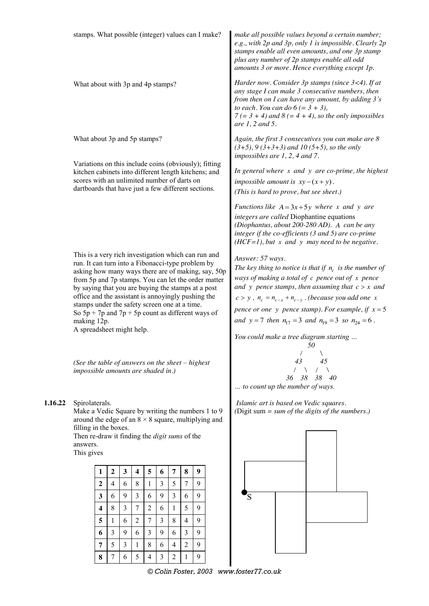|         | stamps. What possible (integer) values can I make?                                                                                                                                                                                                                                                                                                                                                                                                                                      |        |                |   |   |                     |        |                |                                |        | make all possible values beyond a certain number;<br>e.g., with 2p and 3p, only 1 is impossible. Clearly 2p<br>stamps enable all even amounts, and one 3p stamp<br>plus any number of 2p stamps enable all odd<br>amounts 3 or more. Hence everything except 1p.                                                                                                                                                                        |                                                                                                                                                                                                                                                                                     |
|---------|-----------------------------------------------------------------------------------------------------------------------------------------------------------------------------------------------------------------------------------------------------------------------------------------------------------------------------------------------------------------------------------------------------------------------------------------------------------------------------------------|--------|----------------|---|---|---------------------|--------|----------------|--------------------------------|--------|-----------------------------------------------------------------------------------------------------------------------------------------------------------------------------------------------------------------------------------------------------------------------------------------------------------------------------------------------------------------------------------------------------------------------------------------|-------------------------------------------------------------------------------------------------------------------------------------------------------------------------------------------------------------------------------------------------------------------------------------|
|         | What about with 3p and 4p stamps?                                                                                                                                                                                                                                                                                                                                                                                                                                                       |        |                |   |   |                     |        |                |                                |        |                                                                                                                                                                                                                                                                                                                                                                                                                                         | Harder now. Consider 3p stamps (since 3<4). If at<br>any stage I can make 3 consecutive numbers, then<br>from then on I can have any amount, by adding 3's<br>to each. You can do $6 (= 3 + 3)$ ,<br>$7 (= 3 + 4)$ and $8 (= 4 + 4)$ , so the only impossibles<br>are $1, 2$ and 5. |
|         | What about 3p and 5p stamps?                                                                                                                                                                                                                                                                                                                                                                                                                                                            |        |                |   |   |                     |        |                |                                |        |                                                                                                                                                                                                                                                                                                                                                                                                                                         | Again, the first 3 consecutives you can make are 8<br>$(3+5)$ , 9 $(3+3+3)$ and 10 $(5+5)$ , so the only<br>impossibles are $1, 2, 4$ and $7.$                                                                                                                                      |
|         | Variations on this include coins (obviously); fitting<br>kitchen cabinets into different length kitchens; and<br>scores with an unlimited number of darts on<br>dartboards that have just a few different sections.                                                                                                                                                                                                                                                                     |        |                |   |   |                     |        |                |                                |        | In general where $x$ and $y$ are co-prime, the highest<br>impossible amount is $xy - (x + y)$ .<br>(This is hard to prove, but see sheet.)                                                                                                                                                                                                                                                                                              |                                                                                                                                                                                                                                                                                     |
|         |                                                                                                                                                                                                                                                                                                                                                                                                                                                                                         |        |                |   |   |                     |        |                |                                |        |                                                                                                                                                                                                                                                                                                                                                                                                                                         | Functions like $A = 3x+5y$ where x and y are<br>integers are called Diophantine equations<br>(Diophantus, about 200-280 AD). A can be any<br>integer if the co-efficients $(3 \text{ and } 5)$ are co-prime<br>$(HCF=1)$ , but x and y may need to be negative.                     |
|         | This is a very rich investigation which can run and<br>run. It can turn into a Fibonacci-type problem by<br>asking how many ways there are of making, say, 50p<br>from 5p and 7p stamps. You can let the order matter<br>by saying that you are buying the stamps at a post<br>office and the assistant is annoyingly pushing the<br>stamps under the safety screen one at a time.<br>So $5p + 7p$ and $7p + 5p$ count as different ways of<br>making 12p.<br>A spreadsheet might help. |        |                |   |   |                     |        |                |                                |        | Answer: 57 ways.<br>The key thing to notice is that if $n_c$ is the number of<br>ways of making a total of $c$ pence out of $x$ pence<br>and y pence stamps, then assuming that $c > x$ and<br>$c > y$ , $n_c = n_{c-x} + n_{c-y}$ . (because you add one x<br>pence or one y pence stamp). For example, if $x = 5$<br>and $y = 7$ then $n_{17} = 3$ and $n_{19} = 3$ so $n_{24} = 6$ .<br>You could make a tree diagram starting<br>50 |                                                                                                                                                                                                                                                                                     |
|         | (See the table of answers on the sheet - highest<br>impossible amounts are shaded in.)                                                                                                                                                                                                                                                                                                                                                                                                  |        |                |   |   |                     |        |                |                                |        |                                                                                                                                                                                                                                                                                                                                                                                                                                         | 43<br>45<br>$\sqrt{2}$<br>X<br>38<br>38 40<br>36<br>to count up the number of ways.                                                                                                                                                                                                 |
| 1.16.22 | Spirolaterals.<br>Make a Vedic Square by writing the numbers 1 to 9<br>around the edge of an $8 \times 8$ square, multiplying and<br>filling in the boxes.<br>Then re-draw it finding the <i>digit sums</i> of the<br>answers.<br>This gives                                                                                                                                                                                                                                            |        |                |   |   |                     |        |                |                                |        |                                                                                                                                                                                                                                                                                                                                                                                                                                         | Islamic art is based on Vedic squares.<br>(Digit sum $=$ sum of the digits of the numbers.)                                                                                                                                                                                         |
|         | 5<br>$\overline{7}$<br>8<br>$\boldsymbol{9}$<br>$\boldsymbol{2}$<br>3<br>$\overline{\mathbf{4}}$<br>1<br>6                                                                                                                                                                                                                                                                                                                                                                              |        |                |   |   |                     |        |                |                                |        |                                                                                                                                                                                                                                                                                                                                                                                                                                         |                                                                                                                                                                                                                                                                                     |
|         | $\boldsymbol{7}$<br>$\mathfrak{Z}$<br>5<br>9<br>2<br>$\overline{4}$<br>8<br>1<br>6<br>9<br>9<br>$\overline{3}$<br>3<br>6<br>6<br>9<br>6<br>3                                                                                                                                                                                                                                                                                                                                            |        |                |   |   |                     |        |                |                                |        |                                                                                                                                                                                                                                                                                                                                                                                                                                         |                                                                                                                                                                                                                                                                                     |
|         |                                                                                                                                                                                                                                                                                                                                                                                                                                                                                         |        |                |   |   |                     |        | 'S             |                                |        |                                                                                                                                                                                                                                                                                                                                                                                                                                         |                                                                                                                                                                                                                                                                                     |
|         |                                                                                                                                                                                                                                                                                                                                                                                                                                                                                         | 4      | 8              | 3 | 7 | $\overline{2}$      | 6      | 1              | 5                              | 9      |                                                                                                                                                                                                                                                                                                                                                                                                                                         |                                                                                                                                                                                                                                                                                     |
|         |                                                                                                                                                                                                                                                                                                                                                                                                                                                                                         | 5      | 1              | 6 | 2 | 7                   | 3      | 8              | $\overline{4}$                 | 9      |                                                                                                                                                                                                                                                                                                                                                                                                                                         |                                                                                                                                                                                                                                                                                     |
|         |                                                                                                                                                                                                                                                                                                                                                                                                                                                                                         | 6      | $\mathfrak{Z}$ | 9 | 6 | $\mathfrak{Z}$      | 9      | 6              | $\overline{3}$                 | 9      |                                                                                                                                                                                                                                                                                                                                                                                                                                         |                                                                                                                                                                                                                                                                                     |
|         |                                                                                                                                                                                                                                                                                                                                                                                                                                                                                         | 7<br>8 | 5<br>7         | 3 | 1 | 8<br>$\overline{4}$ | 6<br>3 | $\overline{4}$ | $\overline{2}$<br>$\mathbf{1}$ | 9<br>9 |                                                                                                                                                                                                                                                                                                                                                                                                                                         |                                                                                                                                                                                                                                                                                     |
|         |                                                                                                                                                                                                                                                                                                                                                                                                                                                                                         |        |                | 6 | 5 |                     |        | 2              |                                |        |                                                                                                                                                                                                                                                                                                                                                                                                                                         |                                                                                                                                                                                                                                                                                     |

*© Colin Foster, 2003 www.foster77.co.uk*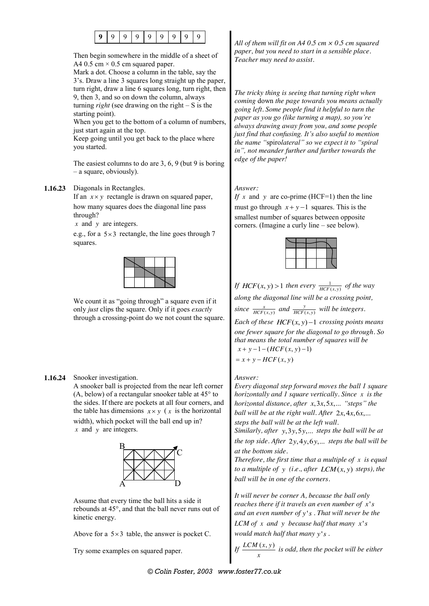

Then begin somewhere in the middle of a sheet of A4 0.5 cm  $\times$  0.5 cm squared paper.

Mark a dot. Choose a column in the table, say the 3's. Draw a line 3 squares long straight up the paper, turn right, draw a line 6 squares long, turn right, then 9, then 3, and so on down the column, always turning *right* (see drawing on the right – S is the starting point).

When you get to the bottom of a column of numbers, just start again at the top.

Keep going until you get back to the place where you started.

The easiest columns to do are 3, 6, 9 (but 9 is boring – a square, obviously).

#### **1.16.23** Diagonals in Rectangles.

If an  $x \times y$  rectangle is drawn on squared paper, how many squares does the diagonal line pass through?

*x* and *y* are integers.

e.g., for a  $5 \times 3$  rectangle, the line goes through 7 squares.

We count it as "going through" a square even if it only *just* clips the square. Only if it goes *exactly* through a crossing-point do we not count the square.

#### **1.16.24** Snooker investigation.

A snooker ball is projected from the near left corner (A, below) of a rectangular snooker table at 45° to the sides. If there are pockets at all four corners, and the table has dimensions  $x \times y$  (*x* is the horizontal width), which pocket will the ball end up in? *x* and *y* are integers.



Assume that every time the ball hits a side it rebounds at 45°, and that the ball never runs out of kinetic energy.

Above for a  $5 \times 3$  table, the answer is pocket C.

Try some examples on squared paper.

*All of them will fit on A4 0.5 cm × 0.5 cm squared paper, but you need to start in a sensible place. Teacher may need to assist.* 

*The tricky thing is seeing that turning right when coming* down *the page towards you means actually going left. Some people find it helpful to turn the paper as you go (like turning a map), so you're always drawing away from you, and some people just find that confusing. It's also useful to mention the name "*spiro*lateral" so we expect it to "spiral in", not meander further and further towards the edge of the paper!*

#### *Answer:*

*If* x and y are co-prime (HCF=1) then the line must go through  $x + y - 1$  squares. This is the smallest number of squares between opposite corners. (Imagine a curly line – see below).



*If HCF*(*x*, *y*) > 1 *then every*  $\frac{1}{HCF(x,y)}$  *of the way along the diagonal line will be a crossing point, since*  $\frac{x}{HCF(x,y)}$  *and*  $\frac{y}{HCF(x,y)}$  *will be integers. Each of these*  $HCF(x, y) - 1$  *crossing points means one fewer square for the diagonal to go through. So that means the total number of squares will be*  $x + y - 1 - (HCF(x, y) - 1)$ 

 $= x + y - HCF(x, y)$ 

*Answer:*

*Every diagonal step forward moves the ball 1 square horizontally and 1 square vertically. Since x is the horizontal distance, after x, 3x, 5x, ... "steps" the ball will be at the right wall. After*  $2x, 4x, 6x, ...$ *steps the ball will be at the left wall.*

*Similarly, after*  $y$ ,  $3y$ ,  $5y$ ,... *steps the ball will be at the top side. After*  $2y, 4y, 6y, ...$  *steps the ball will be at the bottom side.*

*Therefore, the first time that a multiple of x is equal to a multiple of y (i.e., after*  $LCM(x, y)$  *steps), the ball will be in one of the corners.*

*It will never be corner A, because the ball only reaches there if it travels an even number of x's and an even number of y s*' *. That will never be the LCM of x and y because half that many*  $x's$ *would match half that many y s*' *.*

If 
$$
\frac{LCM(x, y)}{x}
$$
 is odd, then the pocket will be either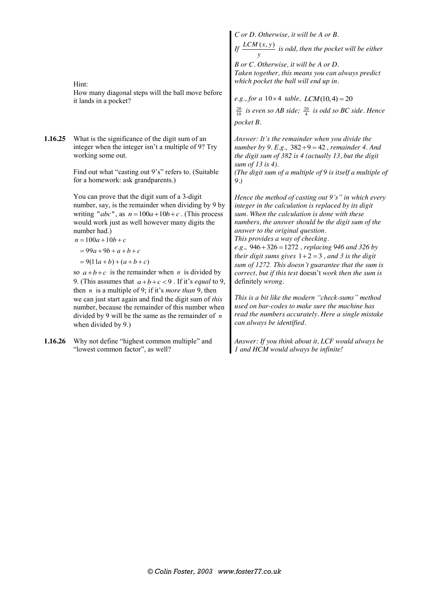Hint:

How many diagonal steps will the ball move before it lands in a pocket?

**1.16.25** What is the significance of the digit sum of an integer when the integer isn't a multiple of 9? Try working some out.

> Find out what "casting out 9's" refers to. (Suitable for a homework: ask grandparents.)

You can prove that the digit sum of a 3-digit number, say, is the remainder when dividing by 9 by writing " $abc$ ", as  $n = 100a + 10b + c$ . (This process would work just as well however many digits the number had.)

 $n = 100a + 10b + c$ 

$$
= 99a + 9b + a + b + c
$$

 $= 9(11a+b) + (a+b+c)$ 

so  $a+b+c$  is the remainder when *n* is divided by 9. (This assumes that  $a+b+c<9$ . If it's *equal* to 9, then *n* is a multiple of 9; if it's *more than* 9, then we can just start again and find the digit sum of *this* number, because the remainder of this number when divided by 9 will be the same as the remainder of *n* when divided by 9.)

**1.16.26** Why not define "highest common multiple" and "lowest common factor", as well?

*C or D. Otherwise, it will be A or B.*

*If*  $\frac{LCM(x, y)}{y}$  *is odd, then the pocket will be either* 

*B or C. Otherwise, it will be A or D. Taken together, this means you can always predict which pocket the ball will end up in.*

*e.g., for a*  $10 \times 4$  *table, LCM*(10,4) = 20

 $\frac{20}{10}$  *is even so AB side*;  $\frac{20}{4}$  *is odd so BC side. Hence pocket B.*

*Answer: It's the remainder when you divide the number by 9. E.g.,*  $382 \div 9 = 42$ , *remainder 4. And the digit sum of 382 is 4 (actually 13, but the digit sum of 13 is 4). (The digit sum of a multiple of 9 is itself a multiple of* 

*9.)*

*Hence the method of casting out 9's" in which every integer in the calculation is replaced by its digit sum. When the calculation is done with these numbers, the answer should be the digit sum of the answer to the original question.*

*This provides a way of checking. e.g.,* 946 326 1272 *, replacing 946 and 326 by their digit sums gives*  $1+2=3$ , and 3 is the digit *sum of 1272. This doesn't guarantee that the sum is correct, but if this test* doesn't *work then the sum is*  definitely *wrong.*

*This is a bit like the modern "check-sums" method used on bar-codes to make sure the machine has read the numbers accurately. Here a single mistake can always be identified.*

*Answer: If you think about it, LCF would always be 1 and HCM would always be infinite!*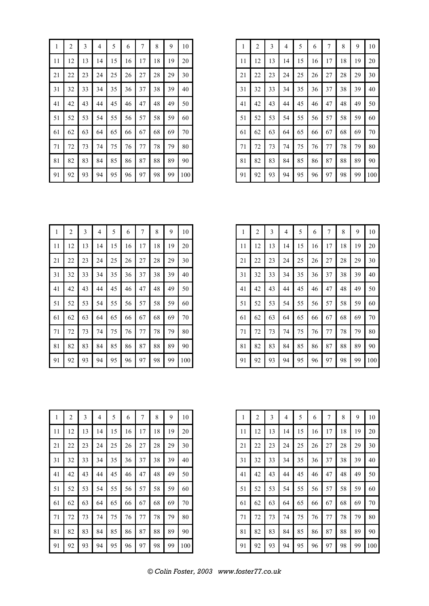| 1  | $\overline{c}$ | 3  | 4  | 5  | 6  | 7  | 8  | 9  | 10  |
|----|----------------|----|----|----|----|----|----|----|-----|
| 11 | 12             | 13 | 14 | 15 | 16 | 17 | 18 | 19 | 20  |
| 21 | 22             | 23 | 24 | 25 | 26 | 27 | 28 | 29 | 30  |
| 31 | 32             | 33 | 34 | 35 | 36 | 37 | 38 | 39 | 40  |
| 41 | 42             | 43 | 44 | 45 | 46 | 47 | 48 | 49 | 50  |
| 51 | 52             | 53 | 54 | 55 | 56 | 57 | 58 | 59 | 60  |
| 61 | 62             | 63 | 64 | 65 | 66 | 67 | 68 | 69 | 70  |
| 71 | 72             | 73 | 74 | 75 | 76 | 77 | 78 | 79 | 80  |
| 81 | 82             | 83 | 84 | 85 | 86 | 87 | 88 | 89 | 90  |
| 91 | 92             | 93 | 94 | 95 | 96 | 97 | 98 | 99 | 100 |

| $\mathbf{1}$ | $\overline{\mathbf{c}}$ | 3  | 4  | 5  | 6  | 7  | 8  | 9  | 10  |
|--------------|-------------------------|----|----|----|----|----|----|----|-----|
| 11           | 12                      | 13 | 14 | 15 | 16 | 17 | 18 | 19 | 20  |
| 21           | 22                      | 23 | 24 | 25 | 26 | 27 | 28 | 29 | 30  |
| 31           | 32                      | 33 | 34 | 35 | 36 | 37 | 38 | 39 | 40  |
| 41           | 42                      | 43 | 44 | 45 | 46 | 47 | 48 | 49 | 50  |
| 51           | 52                      | 53 | 54 | 55 | 56 | 57 | 58 | 59 | 60  |
| 61           | 62                      | 63 | 64 | 65 | 66 | 67 | 68 | 69 | 70  |
| 71           | 72                      | 73 | 74 | 75 | 76 | 77 | 78 | 79 | 80  |
| 81           | 82                      | 83 | 84 | 85 | 86 | 87 | 88 | 89 | 90  |
| 91           | 92                      | 93 | 94 | 95 | 96 | 97 | 98 | 99 | 100 |

| 1  | $\overline{c}$ | 3  | 4  | 5  | 6  | 7  | 8  | 9  | 10  |
|----|----------------|----|----|----|----|----|----|----|-----|
| 11 | 12             | 13 | 14 | 15 | 16 | 17 | 18 | 19 | 20  |
| 21 | 22             | 23 | 24 | 25 | 26 | 27 | 28 | 29 | 30  |
| 31 | 32             | 33 | 34 | 35 | 36 | 37 | 38 | 39 | 40  |
| 41 | 42             | 43 | 44 | 45 | 46 | 47 | 48 | 49 | 50  |
| 51 | 52             | 53 | 54 | 55 | 56 | 57 | 58 | 59 | 60  |
| 61 | 62             | 63 | 64 | 65 | 66 | 67 | 68 | 69 | 70  |
| 71 | 72             | 73 | 74 | 75 | 76 | 77 | 78 | 79 | 80  |
| 81 | 82             | 83 | 84 | 85 | 86 | 87 | 88 | 89 | 90  |
| 91 | 92             | 93 | 94 | 95 | 96 | 97 | 98 | 99 | 100 |

| 1  | $\overline{c}$ | 3  | 4  | 5  | 6  | 7  | 8  | 9  | 10  |
|----|----------------|----|----|----|----|----|----|----|-----|
| 11 | 12             | 13 | 14 | 15 | 16 | 17 | 18 | 19 | 20  |
| 21 | 22             | 23 | 24 | 25 | 26 | 27 | 28 | 29 | 30  |
| 31 | 32             | 33 | 34 | 35 | 36 | 37 | 38 | 39 | 40  |
| 41 | 42             | 43 | 44 | 45 | 46 | 47 | 48 | 49 | 50  |
| 51 | 52             | 53 | 54 | 55 | 56 | 57 | 58 | 59 | 60  |
| 61 | 62             | 63 | 64 | 65 | 66 | 67 | 68 | 69 | 70  |
| 71 | 72             | 73 | 74 | 75 | 76 | 77 | 78 | 79 | 80  |
| 81 | 82             | 83 | 84 | 85 | 86 | 87 | 88 | 89 | 90  |
| 91 | 92             | 93 | 94 | 95 | 96 | 97 | 98 | 99 | 100 |

| 1  | 2  | 3  | 4  | 5  | 6  | 7  | 8  | 9  | 10  |
|----|----|----|----|----|----|----|----|----|-----|
| 11 | 12 | 13 | 14 | 15 | 16 | 17 | 18 | 19 | 20  |
| 21 | 22 | 23 | 24 | 25 | 26 | 27 | 28 | 29 | 30  |
| 31 | 32 | 33 | 34 | 35 | 36 | 37 | 38 | 39 | 40  |
| 41 | 42 | 43 | 44 | 45 | 46 | 47 | 48 | 49 | 50  |
| 51 | 52 | 53 | 54 | 55 | 56 | 57 | 58 | 59 | 60  |
| 61 | 62 | 63 | 64 | 65 | 66 | 67 | 68 | 69 | 70  |
| 71 | 72 | 73 | 74 | 75 | 76 | 77 | 78 | 79 | 80  |
| 81 | 82 | 83 | 84 | 85 | 86 | 87 | 88 | 89 | 90  |
| 91 | 92 | 93 | 94 | 95 | 96 | 97 | 98 | 99 | 100 |

| 1  | 2  | 3  | 4  | 5  | 6  | 7       | 8  | 9  | 10  |
|----|----|----|----|----|----|---------|----|----|-----|
|    |    |    |    |    |    |         |    |    |     |
| 11 | 12 | 13 | 14 | 15 | 16 | 17      | 18 | 19 | 20  |
| 21 | 22 | 23 | 24 | 25 | 26 | 27      | 28 | 29 | 30  |
| 31 | 32 | 33 | 34 | 35 | 36 | 37      | 38 | 39 | 40  |
| 41 | 42 | 43 | 44 | 45 | 46 | 47      | 48 | 49 | 50  |
| 51 | 52 | 53 | 54 | 55 | 56 | 57      | 58 | 59 | 60  |
| 61 | 62 | 63 | 64 | 65 | 66 | 67      | 68 | 69 | 70  |
| 71 | 72 | 73 | 74 | 75 | 76 | $77 \,$ | 78 | 79 | 80  |
| 81 | 82 | 83 | 84 | 85 | 86 | 87      | 88 | 89 | 90  |
| 91 | 92 | 93 | 94 | 95 | 96 | 97      | 98 | 99 | 100 |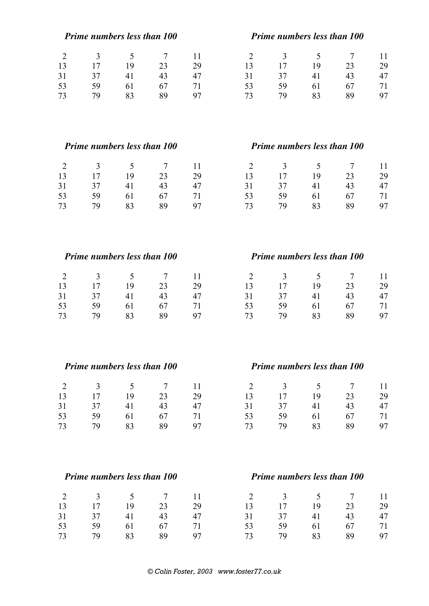|                      |          | <b>Prime numbers less than 100</b> |                      |          |                      | <b>Prime numbers less than 100</b> |          |                      |          |
|----------------------|----------|------------------------------------|----------------------|----------|----------------------|------------------------------------|----------|----------------------|----------|
| $\overline{2}$       | 3        | 5                                  | $\overline{7}$       | 11       | $\overline{2}$       | 3                                  | 5        | $\overline{7}$       | 11       |
| 13                   | 17       | 19                                 | 23                   | 29       | 13                   | 17                                 | 19       | 23                   | 29       |
| 31                   | 37       | 41                                 | 43                   | 47       | 31                   | 37                                 | 41       | 43                   | 47       |
| 53                   | 59       | 61                                 | 67                   | 71       | 53                   | 59                                 | 61       | 67                   | 71       |
| 73                   | 79       | 83                                 | 89                   | 97       | 73                   | 79                                 | 83       | 89                   | 97       |
|                      |          | <b>Prime numbers less than 100</b> |                      |          |                      | Prime numbers less than 100        |          |                      |          |
| $\overline{2}$       | 3        | 5                                  | 7                    | 11       | $\overline{2}$       | 3                                  | 5        | 7                    | 11       |
| 13                   | 17       | 19                                 | 23                   | 29       | 13                   | 17                                 | 19       | 23                   | 29       |
| 31                   | 37       | 41                                 | 43                   | 47       | 31                   | 37                                 | 41       | 43                   | 47       |
| 53<br>73             | 59<br>79 | 61<br>83                           | 67<br>89             | 71<br>97 | 53<br>73             | 59<br>79                           | 61<br>83 | 67<br>89             | 71<br>97 |
|                      |          | Prime numbers less than 100        |                      |          |                      | Prime numbers less than 100        |          |                      |          |
|                      |          |                                    |                      |          |                      |                                    |          |                      |          |
| $\overline{2}$<br>13 | 3<br>17  | 5<br>19                            | $\overline{7}$<br>23 | 11<br>29 | $\overline{2}$<br>13 | 3<br>17                            | 5<br>19  | $\overline{7}$<br>23 | 11       |
| 31                   | 37       | 41                                 | 43                   | 47       | 31                   | 37                                 | 41       | 43                   | 29<br>47 |
| 53                   | 59       | 61                                 | 67                   | 71       | 53                   | 59                                 | 61       | 67                   | 71       |
| 73                   | 79       | 83                                 | 89                   | 97       | 73                   | 79                                 | 83       | 89                   | 97       |
|                      |          | Prime numbers less than 100        |                      |          |                      | Prime numbers less than 100        |          |                      |          |
| $\overline{2}$       | 3        | 5                                  | $\tau$               | 11       | $\overline{2}$       | 3                                  | 5        | $\tau$               | 11       |
| 13                   | 17       | 19                                 | 23                   | 29       | 13                   | 17                                 | 19       | 23                   | 29       |
| 31                   | 37       | 41                                 | 43                   | 47       | 31                   | 37                                 | 41       | 43                   | 47       |
| 53                   | 59       | 61                                 | 67                   | 71       | 53                   | 59                                 | 61       | 67                   | 71       |
| 73                   | 79       | 83                                 | 89                   | 97       | 73                   | 79                                 | 83       | 89                   | 97       |
|                      |          | <b>Prime numbers less than 100</b> |                      |          |                      | Prime numbers less than 100        |          |                      |          |
| $\overline{2}$       | 3        | 5                                  | $\overline{7}$       | 11       | $\overline{2}$       | 3                                  | 5        | $\overline{7}$       | 11       |
| 13                   | 17       | 19                                 | 23                   | 29       | 13                   | 17                                 | 19       | 23                   | 29       |
| 31                   | 37       | 41                                 | 43                   | 47       | 31                   | 37                                 | 41       | 43                   | 47       |
| 53                   | 59       | 61                                 | 67                   | 71       | 53                   | 59                                 | 61       | 67                   | 71       |
| 73                   | 79       | 83                                 | 89                   | 97       | 73                   | 79                                 | 83       | 89                   | 97       |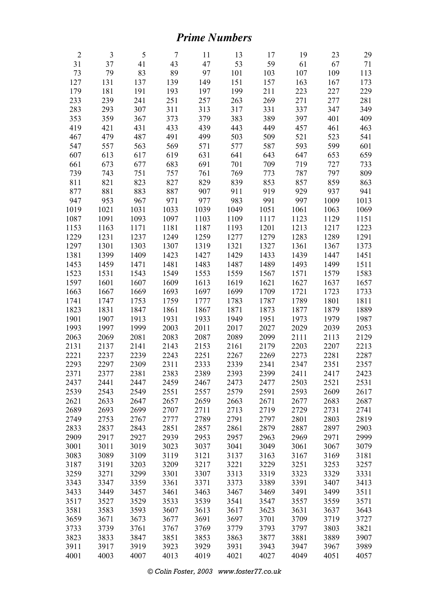## *Prime Numbers*

| $\overline{2}$ | 3    | 5    | $\overline{7}$ | 11   | 13   | 17   | 19   | 23   | 29   |
|----------------|------|------|----------------|------|------|------|------|------|------|
| 31             | 37   | 41   | 43             | 47   | 53   | 59   | 61   | 67   | 71   |
| 73             | 79   | 83   | 89             | 97   | 101  | 103  | 107  | 109  | 113  |
| 127            | 131  | 137  | 139            | 149  | 151  | 157  | 163  | 167  | 173  |
| 179            | 181  | 191  | 193            | 197  | 199  | 211  | 223  | 227  | 229  |
| 233            | 239  | 241  | 251            | 257  | 263  | 269  | 271  | 277  | 281  |
| 283            | 293  | 307  | 311            | 313  | 317  | 331  | 337  | 347  | 349  |
| 353            | 359  | 367  | 373            | 379  | 383  | 389  | 397  | 401  | 409  |
| 419            | 421  | 431  | 433            | 439  | 443  | 449  | 457  | 461  | 463  |
| 467            | 479  | 487  | 491            | 499  | 503  | 509  | 521  | 523  | 541  |
| 547            | 557  | 563  | 569            | 571  | 577  | 587  | 593  | 599  | 601  |
| 607            | 613  | 617  | 619            | 631  | 641  | 643  | 647  | 653  | 659  |
| 661            | 673  | 677  | 683            | 691  | 701  | 709  | 719  | 727  | 733  |
| 739            | 743  | 751  | 757            | 761  | 769  | 773  | 787  | 797  | 809  |
| 811            | 821  | 823  | 827            | 829  | 839  | 853  | 857  | 859  | 863  |
| 877            | 881  | 883  | 887            | 907  | 911  | 919  | 929  | 937  | 941  |
| 947            | 953  | 967  | 971            | 977  | 983  | 991  | 997  | 1009 | 1013 |
| 1019           | 1021 | 1031 | 1033           | 1039 | 1049 | 1051 | 1061 | 1063 | 1069 |
| 1087           | 1091 | 1093 | 1097           | 1103 | 1109 | 1117 | 1123 | 1129 | 1151 |
| 1153           | 1163 | 1171 | 1181           | 1187 | 1193 | 1201 | 1213 | 1217 | 1223 |
| 1229           | 1231 | 1237 | 1249           | 1259 | 1277 | 1279 | 1283 | 1289 | 1291 |
| 1297           | 1301 | 1303 | 1307           | 1319 | 1321 | 1327 | 1361 | 1367 | 1373 |
| 1381           | 1399 | 1409 | 1423           | 1427 | 1429 | 1433 | 1439 | 1447 | 1451 |
| 1453           | 1459 | 1471 | 1481           | 1483 | 1487 | 1489 | 1493 | 1499 | 1511 |
| 1523           | 1531 | 1543 | 1549           | 1553 | 1559 | 1567 | 1571 | 1579 | 1583 |
| 1597           | 1601 | 1607 | 1609           | 1613 | 1619 | 1621 | 1627 | 1637 | 1657 |
| 1663           | 1667 | 1669 | 1693           | 1697 | 1699 | 1709 | 1721 | 1723 | 1733 |
| 1741           | 1747 | 1753 | 1759           | 1777 | 1783 | 1787 | 1789 | 1801 | 1811 |
| 1823           | 1831 | 1847 | 1861           | 1867 | 1871 | 1873 | 1877 | 1879 | 1889 |
| 1901           | 1907 | 1913 | 1931           | 1933 | 1949 | 1951 | 1973 | 1979 | 1987 |
| 1993           | 1997 | 1999 | 2003           | 2011 | 2017 | 2027 | 2029 | 2039 | 2053 |
| 2063           | 2069 | 2081 | 2083           | 2087 | 2089 | 2099 | 2111 | 2113 | 2129 |
| 2131           | 2137 | 2141 | 2143           | 2153 | 2161 | 2179 | 2203 | 2207 | 2213 |
| 2221           | 2237 | 2239 | 2243           | 2251 | 2267 | 2269 | 2273 | 2281 | 2287 |
| 2293           | 2297 | 2309 | 2311           | 2333 | 2339 | 2341 | 2347 | 2351 | 2357 |
| 2371           | 2377 | 2381 | 2383           | 2389 | 2393 | 2399 | 2411 | 2417 | 2423 |
| 2437           | 2441 | 2447 | 2459           | 2467 | 2473 | 2477 | 2503 | 2521 | 2531 |
| 2539           | 2543 | 2549 | 2551           | 2557 | 2579 | 2591 | 2593 | 2609 | 2617 |
| 2621           | 2633 | 2647 | 2657           | 2659 | 2663 | 2671 | 2677 | 2683 | 2687 |
| 2689           | 2693 | 2699 | 2707           | 2711 | 2713 | 2719 | 2729 | 2731 | 2741 |
| 2749           | 2753 | 2767 | 2777           | 2789 | 2791 | 2797 | 2801 | 2803 | 2819 |
| 2833           | 2837 | 2843 | 2851           | 2857 | 2861 | 2879 | 2887 | 2897 | 2903 |
| 2909           | 2917 | 2927 | 2939           | 2953 | 2957 | 2963 | 2969 | 2971 | 2999 |
| 3001           | 3011 | 3019 | 3023           | 3037 | 3041 | 3049 | 3061 | 3067 | 3079 |
| 3083           | 3089 | 3109 | 3119           | 3121 | 3137 | 3163 | 3167 | 3169 | 3181 |
| 3187           | 3191 | 3203 | 3209           | 3217 | 3221 | 3229 | 3251 | 3253 | 3257 |
| 3259           | 3271 | 3299 | 3301           | 3307 | 3313 | 3319 | 3323 | 3329 | 3331 |
| 3343           | 3347 | 3359 | 3361           | 3371 | 3373 | 3389 | 3391 | 3407 | 3413 |
| 3433           | 3449 | 3457 | 3461           | 3463 | 3467 | 3469 | 3491 | 3499 | 3511 |
| 3517           | 3527 | 3529 | 3533           | 3539 | 3541 | 3547 | 3557 | 3559 | 3571 |
| 3581           | 3583 | 3593 | 3607           | 3613 | 3617 | 3623 | 3631 | 3637 | 3643 |
| 3659           | 3671 | 3673 | 3677           | 3691 | 3697 | 3701 | 3709 | 3719 | 3727 |
| 3733           | 3739 | 3761 | 3767           | 3769 | 3779 | 3793 | 3797 | 3803 | 3821 |
| 3823           | 3833 | 3847 | 3851           | 3853 | 3863 | 3877 | 3881 | 3889 | 3907 |
| 3911           | 3917 | 3919 | 3923           | 3929 | 3931 | 3943 | 3947 | 3967 | 3989 |
| 4001           | 4003 | 4007 | 4013           | 4019 | 4021 | 4027 | 4049 | 4051 | 4057 |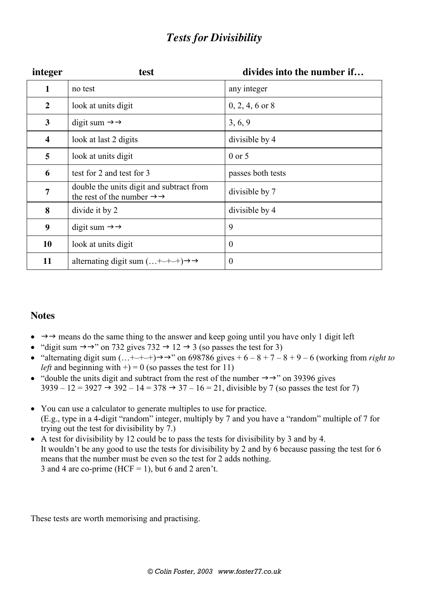### *Tests for Divisibility*

| integer        | test                                                                                         | divides into the number if |
|----------------|----------------------------------------------------------------------------------------------|----------------------------|
| $\mathbf{1}$   | no test                                                                                      | any integer                |
| $\overline{2}$ | look at units digit                                                                          | $0, 2, 4, 6$ or 8          |
| 3              | digit sum $\rightarrow \rightarrow$                                                          | 3, 6, 9                    |
| 4              | look at last 2 digits                                                                        | divisible by 4             |
| 5              | look at units digit                                                                          | $0$ or 5                   |
| 6              | test for 2 and test for 3                                                                    | passes both tests          |
| $\overline{7}$ | double the units digit and subtract from<br>the rest of the number $\rightarrow \rightarrow$ | divisible by 7             |
| 8              | divide it by 2                                                                               | divisible by 4             |
| 9              | digit sum $\rightarrow \rightarrow$                                                          | 9                          |
| 10             | look at units digit                                                                          | $\theta$                   |
| 11             | alternating digit sum $(\ldots + - + - +) \rightarrow \rightarrow$                           | $\boldsymbol{0}$           |

### **Notes**

- $\rightarrow \rightarrow \rightarrow$  means do the same thing to the answer and keep going until you have only 1 digit left
- "digit sum  $\rightarrow \rightarrow$ " on 732 gives 732  $\rightarrow$  12  $\rightarrow$  3 (so passes the test for 3)
- "alternating digit sum  $(...+-+-+) \rightarrow$ " on 698786 gives  $+ 6 8 + 7 8 + 9 6$  (working from *right to left* and beginning with  $+) = 0$  (so passes the test for 11)
- "double the units digit and subtract from the rest of the number  $\rightarrow \rightarrow$ " on 39396 gives  $3939 - 12 = 3927 \rightarrow 392 - 14 = 378 \rightarrow 37 - 16 = 21$ , divisible by 7 (so passes the test for 7)
- You can use a calculator to generate multiples to use for practice. (E.g., type in a 4-digit "random" integer, multiply by 7 and you have a "random" multiple of 7 for trying out the test for divisibility by 7.)
- A test for divisibility by 12 could be to pass the tests for divisibility by 3 and by 4. It wouldn't be any good to use the tests for divisibility by 2 and by 6 because passing the test for 6 means that the number must be even so the test for 2 adds nothing. 3 and 4 are co-prime (HCF = 1), but 6 and 2 aren't.

These tests are worth memorising and practising.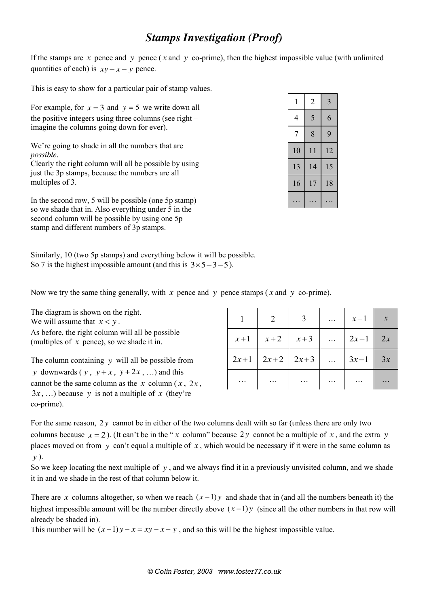### *Stamps Investigation (Proof)*

If the stamps are  $x$  pence and  $y$  pence ( $x$  and  $y$  co-prime), then the highest impossible value (with unlimited quantities of each) is  $xy - x - y$  pence.

This is easy to show for a particular pair of stamp values.

For example, for  $x = 3$  and  $y = 5$  we write down all the positive integers using three columns (see right – imagine the columns going down for ever).

We're going to shade in all the numbers that are *possible*.

Clearly the right column will all be possible by using just the 3p stamps, because the numbers are all multiples of 3.

In the second row, 5 will be possible (one 5p stamp) so we shade that in. Also everything under 5 in the second column will be possible by using one 5p stamp and different numbers of 3p stamps.

| 1  | 2  | 3  |
|----|----|----|
| 4  | 5  | 6  |
| 7  | 8  | 9  |
| 10 | 11 | 12 |
| 13 | 14 | 15 |
| 16 | 17 | 18 |
|    |    |    |

Similarly, 10 (two 5p stamps) and everything below it will be possible. So 7 is the highest impossible amount (and this is  $3 \times 5 - 3 - 5$ ).

Now we try the same thing generally, with *x* pence and *y* pence stamps ( *x* and *y* co-prime).

The diagram is shown on the right. We will assume that  $x < y$ . As before, the right column will all be possible (multiples of *x* pence), so we shade it in.

The column containing *y* will all be possible from *y* downwards (*y*,  $y + x$ ,  $y + 2x$ , ...) and this cannot be the same column as the *x* column (*x*,  $2x$ ,  $3x$ , ...) because y is not a multiple of x (they're co-prime).

|          | 2                        | $\overline{\mathbf{3}}$ |                            | $\begin{array}{ c c c c c } \hline x-1 & x \end{array}$ |  |
|----------|--------------------------|-------------------------|----------------------------|---------------------------------------------------------|--|
| $x+1$    |                          | $x+2$ $x+3$             | $\langle \ldots \rangle$   | $2x-1$ 2x                                               |  |
|          | $2x+1$   $2x+2$   $2x+3$ |                         |                            | $3x-1$ 3x                                               |  |
| $\ldots$ | $\cdots$                 | $\cdots$                | $\ldots$ .<br><br><br><br> |                                                         |  |

For the same reason, 2 *y* cannot be in either of the two columns dealt with so far (unless there are only two columns because  $x = 2$ ). (It can't be in the "*x* column" because 2*y* cannot be a multiple of *x*, and the extra *y* places moved on from *y* can't equal a multiple of *x* , which would be necessary if it were in the same column as *y* ).

So we keep locating the next multiple of  $y$ , and we always find it in a previously unvisited column, and we shade it in and we shade in the rest of that column below it.

There are *x* columns altogether, so when we reach  $(x-1)y$  and shade that in (and all the numbers beneath it) the highest impossible amount will be the number directly above  $(x-1)y$  (since all the other numbers in that row will already be shaded in).

This number will be  $(x-1)y - x = xy - x - y$ , and so this will be the highest impossible value.